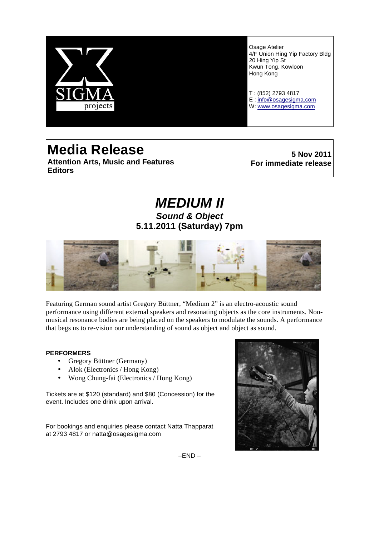

Osage Atelier 4/F Union Hing Yip Factory Bldg 20 Hing Yip St Kwun Tong, Kowloon Hong Kong

T : (852) 2793 4817 E : info@osagesigma.com W: www.osagesigma.com

# **Media Release Attention Arts, Music and Features Editors**

**5 Nov 2011 For immediate release**

# *MEDIUM II Sound & Object* **5.11.2011 (Saturday) 7pm**



Featuring German sound artist Gregory Büttner, "Medium 2" is an electro-acoustic sound performance using different external speakers and resonating objects as the core instruments. Nonmusical resonance bodies are being placed on the speakers to modulate the sounds. A performance that begs us to re-vision our understanding of sound as object and object as sound.

# **PERFORMERS**

- Gregory Büttner (Germany)
- Alok (Electronics / Hong Kong)
- Wong Chung-fai (Electronics / Hong Kong)

Tickets are at \$120 (standard) and \$80 (Concession) for the event. Includes one drink upon arrival.

For bookings and enquiries please contact Natta Thapparat at 2793 4817 or natta@osagesigma.com



–END –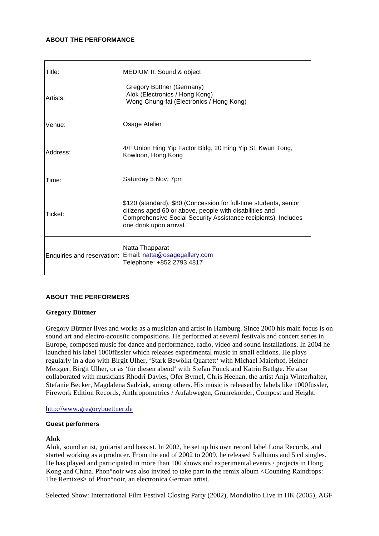# **ABOUT THE PERFORMANCE**

| Title:   | MEDIUM II: Sound & object                                                                                                                                                                                                 |
|----------|---------------------------------------------------------------------------------------------------------------------------------------------------------------------------------------------------------------------------|
| Artists: | Gregory Büttner (Germany)<br>Alok (Electronics / Hong Kong)<br>Wong Chung-fai (Electronics / Hong Kong)                                                                                                                   |
| Venue:   | Osage Atelier                                                                                                                                                                                                             |
| Address: | 4/F Union Hing Yip Factor Bldg, 20 Hing Yip St, Kwun Tong,<br>Kowloon, Hong Kong                                                                                                                                          |
| Time:    | Saturday 5 Nov, 7pm                                                                                                                                                                                                       |
| Ticket:  | \$120 (standard), \$80 (Concession for full-time students, senior<br>citizens aged 60 or above, people with disabilities and<br>Comprehensive Social Security Assistance recipients). Includes<br>one drink upon arrival. |
|          | Natta Thapparat<br>Enquiries and reservation: Email: natta@osagegallery.com<br>Telephone: +852 2793 4817                                                                                                                  |

# **ABOUT THE PERFORMERS**

# **Gregory Büttner**

Gregory Büttner lives and works as a musician and artist in Hamburg. Since 2000 his main focus is on sound art and electro-acoustic compositions. He performed at several festivals and concert series in Europe, composed music for dance and performance, radio, video and sound installations. In 2004 he launched his label 1000füssler which releases experimental music in small editions. He plays regularly in a duo with Birgit Ulher, 'Stark Bewölkt Quartett' with Michael Maierhof, Heiner Metzger, Birgit Ulher, or as 'für diesen abend' with Stefan Funck and Katrin Bethge. He also collaborated with musicians Rhodri Davies, Ofer Bymel, Chris Heenan, the artist Anja Winterhalter, Stefanie Becker, Magdalena Sadziak, among others. His music is released by labels like 1000füssler, Firework Edition Records, Anthropometrics / Aufabwegen, Grünrekorder, Compost and Height.

# http://www.gregorybuettner.de

#### **Guest performers**

# **Alok**

Alok, sound artist, guitarist and bassist. In 2002, he set up his own record label Lona Records, and started working as a producer. From the end of 2002 to 2009, he released 5 albums and 5 cd singles. He has played and participated in more than 100 shows and experimental events / projects in Hong Kong and China. Phon°noir was also invited to take part in the remix album <Counting Raindrops: The Remixes> of Phon°noir, an electronica German artist.

Selected Show: International Film Festival Closing Party (2002), Mondialito Live in HK (2005), AGF